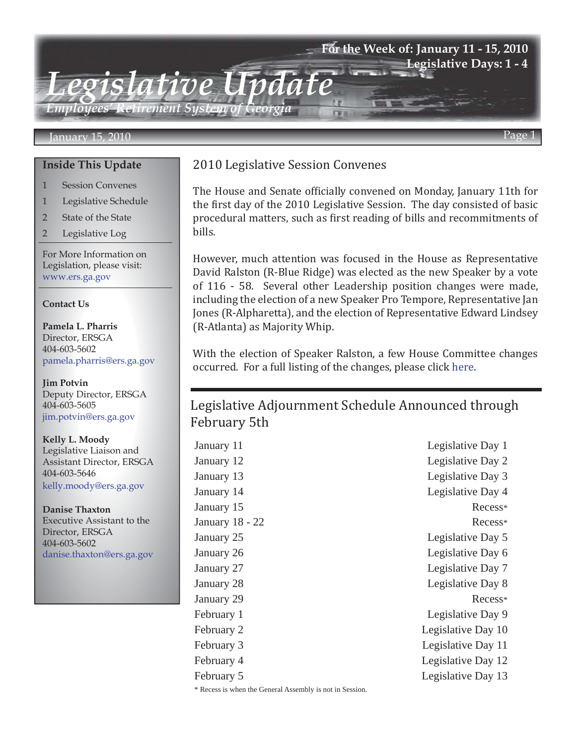### **For the Week of: January 11 - 15, 2010 Legislative Days: 1 - 4**

*Employees' Retirement System of Georgia*

*Legislative Update*

#### January 15, 2010 Page 1

### **Inside This Update**

- 1 Session Convenes
- 1 Legislative Schedule
- 2 State of the State
- 2 Legislative Log

For More Information on Legislation, please visit: www.ers.ga.gov

#### **Contact Us**

**Pamela L. Pharris** Director, ERSGA 404-603-5602 pamela.pharris@ers.ga.gov

**Jim Potvin** Deputy Director, ERSGA 404-603-5605 jim.potvin@ers.ga.gov

**Kelly L. Moody** Legislative Liaison and Assistant Director, ERSGA 404-603-5646 kelly.moody@ers.ga.gov

**Danise Thaxton** Executive Assistant to the Director, ERSGA 404-603-5602 danise.thaxton@ers.ga.gov

## 2010 Legislative Session Convenes

The House and Senate officially convened on Monday, January 11th for the first day of the 2010 Legislative Session. The day consisted of basic procedural matters, such as first reading of bills and recommitments of bills.

However, much attention was focused in the House as Representative David Ralston (R-Blue Ridge) was elected as the new Speaker by a vote of 116 - 58. Several other Leadership position changes were made, including the election of a new Speaker Pro Tempore, Representative Jan Jones (R-Alpharetta), and the election of Representative Edward Lindsey (R-Atlanta) as Majority Whip.

With the election of Speaker Ralston, a few House Committee changes occurred. For a full listing of the changes, please click [here](http://www.legis.ga.gov/legis/2009_10/house/downloads/2010%20Committees%20Assigments%20(by%20committee).pdf).

# Legislative Adjournment Schedule Announced through February 5th

January 11 Legislative Day 1 January 12 Legislative Day 2 January 13 Legislative Day 3 January 14 Legislative Day 4 January 15 Recess\* January 18 - 22 Recess\* January 25 Legislative Day 5 January 26 Legislative Day 6 January 27 Legislative Day 7 January 28 Legislative Day 8 January 29 Recess\* February 1 Legislative Day 9 February 2 Legislative Day 10 February 3 Legislative Day 11 February 4 Legislative Day 12 February 5 Legislative Day 13 \* Recess is when the General Assembly is not in Session.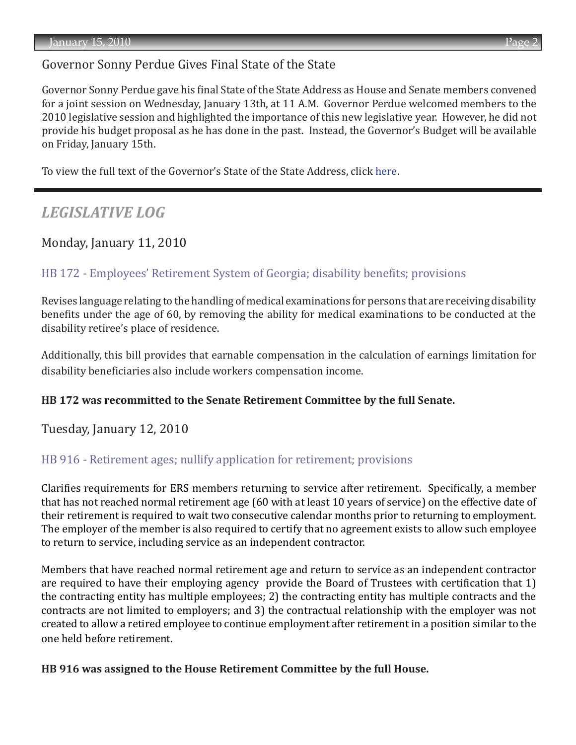# Governor Sonny Perdue Gives Final State of the State

Governor Sonny Perdue gave his final State of the State Address as House and Senate members convened for a joint session on Wednesday, January 13th, at 11 A.M. Governor Perdue welcomed members to the 2010 legislative session and highlighted the importance of this new legislative year. However, he did not provide his budget proposal as he has done in the past. Instead, the Governor's Budget will be available on Friday, January 15th.

To view the full text of the Governor's State of the State Address, click [here](http://gov.georgia.gov/00/press/detail/0,2668,78006749_154885747_155450268,00.html).

# *LEGISLATIVE LOG*

## Monday, January 11, 2010

### [HB 172 - Employees' Retirement System of Georgia; disability benefits; provisions](http://www.legis.ga.gov/legis/2009_10/sum/hb172.htm)

Revises language relating to the handling of medical examinations for persons that are receiving disability benefits under the age of 60, by removing the ability for medical examinations to be conducted at the disability retiree's place of residence.

Additionally, this bill provides that earnable compensation in the calculation of earnings limitation for disability beneficiaries also include workers compensation income.

### **HB 172 was recommitted to the Senate Retirement Committee by the full Senate.**

Tuesday, January 12, 2010

### [HB 916 - Retirement ages; nullify application for retirement; provisions](http://www.legis.ga.gov/legis/2009_10/sum/hb916.htm)

Clarifies requirements for ERS members returning to service after retirement. Specifically, a member that has not reached normal retirement age (60 with at least 10 years of service) on the effective date of their retirement is required to wait two consecutive calendar months prior to returning to employment. The employer of the member is also required to certify that no agreement exists to allow such employee to return to service, including service as an independent contractor.

Members that have reached normal retirement age and return to service as an independent contractor are required to have their employing agency provide the Board of Trustees with certification that 1) the contracting entity has multiple employees; 2) the contracting entity has multiple contracts and the contracts are not limited to employers; and 3) the contractual relationship with the employer was not created to allow a retired employee to continue employment after retirement in a position similar to the one held before retirement.

### **HB 916 was assigned to the House Retirement Committee by the full House.**